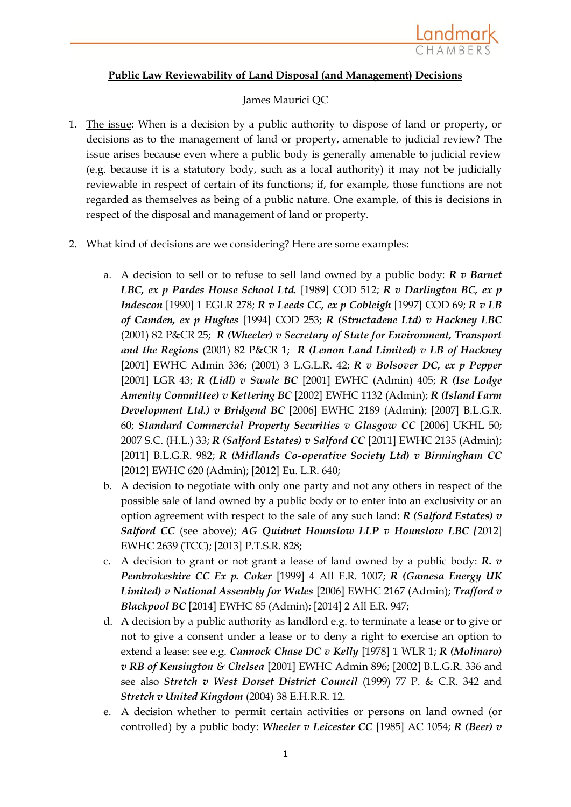

# **Public Law Reviewability of Land Disposal (and Management) Decisions**

# James Maurici QC

- 1. The issue: When is a decision by a public authority to dispose of land or property, or decisions as to the management of land or property, amenable to judicial review? The issue arises because even where a public body is generally amenable to judicial review (e.g. because it is a statutory body, such as a local authority) it may not be judicially reviewable in respect of certain of its functions; if, for example, those functions are not regarded as themselves as being of a public nature. One example, of this is decisions in respect of the disposal and management of land or property.
- 2. What kind of decisions are we considering? Here are some examples:
	- a. A decision to sell or to refuse to sell land owned by a public body: *R v Barnet LBC, ex p Pardes House School Ltd.* [1989] COD 512; *R v Darlington BC, ex p Indescon* [1990] 1 EGLR 278; *R v Leeds CC, ex p Cobleigh* [1997] COD 69; *R v LB of Camden, ex p Hughes* [1994] COD 253; *R (Structadene Ltd) v Hackney LBC*  (2001) 82 P&CR 25; *R (Wheeler) v Secretary of State for Environment, Transport and the Regions* (2001) 82 P&CR 1; *R (Lemon Land Limited) v LB of Hackney*  [2001] EWHC Admin 336; (2001) 3 L.G.L.R. 42; *R v Bolsover DC, ex p Pepper*  [2001] LGR 43; *R (Lidl) v Swale BC* [2001] EWHC (Admin) 405; *R (Ise Lodge Amenity Committee) v Kettering BC* [2002] EWHC 1132 (Admin); *R (Island Farm Development Ltd.) v Bridgend BC* [2006] EWHC 2189 (Admin); [2007] B.L.G.R. 60; *Standard Commercial Property Securities v Glasgow CC* [2006] UKHL 50; 2007 S.C. (H.L.) 33; *R (Salford Estates) v Salford CC* [2011] EWHC 2135 (Admin); [2011] B.L.G.R. 982; *R (Midlands Co-operative Society Ltd) v Birmingham CC*  [2012] EWHC 620 (Admin); [2012] Eu. L.R. 640;
	- b. A decision to negotiate with only one party and not any others in respect of the possible sale of land owned by a public body or to enter into an exclusivity or an option agreement with respect to the sale of any such land: *R (Salford Estates) v Salford CC* (see above); *AG Quidnet Hounslow LLP v Hounslow LBC [*2012] EWHC 2639 (TCC); [2013] P.T.S.R. 828;
	- c. A decision to grant or not grant a lease of land owned by a public body: *R. v Pembrokeshire CC Ex p. Coker* [1999] 4 All E.R. 1007; *R (Gamesa Energy UK Limited) v National Assembly for Wales* [2006] EWHC 2167 (Admin); *Trafford v Blackpool BC* [2014] EWHC 85 (Admin); [2014] 2 All E.R. 947;
	- d. A decision by a public authority as landlord e.g. to terminate a lease or to give or not to give a consent under a lease or to deny a right to exercise an option to extend a lease: see e.g. *Cannock Chase DC v Kelly* [1978] 1 WLR 1; *R (Molinaro) v RB of Kensington & Chelsea* [2001] EWHC Admin 896; [2002] B.L.G.R. 336 and see also *Stretch v West Dorset District Council* (1999) 77 P. & C.R. 342 and *Stretch v United Kingdom* (2004) 38 E.H.R.R. 12.
	- e. A decision whether to permit certain activities or persons on land owned (or controlled) by a public body: *Wheeler v Leicester CC* [1985] AC 1054; *R (Beer) v*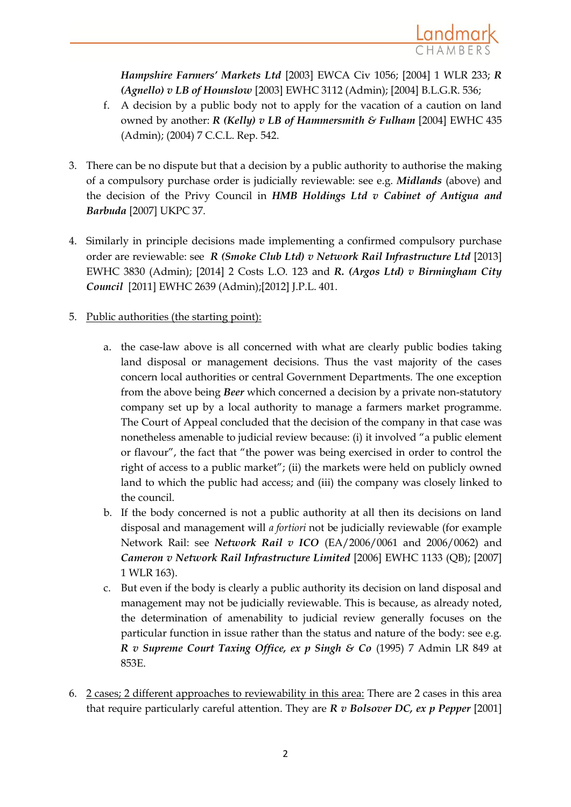

*Hampshire Farmers' Markets Ltd* [2003] EWCA Civ 1056; [2004] 1 WLR 233; *R (Agnello) v LB of Hounslow* [2003] EWHC 3112 (Admin); [2004] B.L.G.R. 536;

- f. A decision by a public body not to apply for the vacation of a caution on land owned by another: *R (Kelly) v LB of Hammersmith & Fulham* [2004] EWHC 435 (Admin); (2004) 7 C.C.L. Rep. 542.
- 3. There can be no dispute but that a decision by a public authority to authorise the making of a compulsory purchase order is judicially reviewable: see e.g. *Midlands* (above) and the decision of the Privy Council in *HMB Holdings Ltd v Cabinet of Antigua and Barbuda* [2007] UKPC 37.
- 4. Similarly in principle decisions made implementing a confirmed compulsory purchase order are reviewable: see *R (Smoke Club Ltd) v Network Rail Infrastructure Ltd* [2013] EWHC 3830 (Admin); [2014] 2 Costs L.O. 123 and *R. (Argos Ltd) v Birmingham City Council* [2011] EWHC 2639 (Admin);[2012] J.P.L. 401.
- 5. Public authorities (the starting point):
	- a. the case-law above is all concerned with what are clearly public bodies taking land disposal or management decisions. Thus the vast majority of the cases concern local authorities or central Government Departments. The one exception from the above being *Beer* which concerned a decision by a private non-statutory company set up by a local authority to manage a farmers market programme. The Court of Appeal concluded that the decision of the company in that case was nonetheless amenable to judicial review because: (i) it involved "a public element or flavour", the fact that "the power was being exercised in order to control the right of access to a public market"; (ii) the markets were held on publicly owned land to which the public had access; and (iii) the company was closely linked to the council.
	- b. If the body concerned is not a public authority at all then its decisions on land disposal and management will *a fortiori* not be judicially reviewable (for example Network Rail: see *Network Rail v ICO* (EA/2006/0061 and 2006/0062) and *Cameron v Network Rail Infrastructure Limited* [2006] EWHC 1133 (QB); [2007] 1 WLR 163).
	- c. But even if the body is clearly a public authority its decision on land disposal and management may not be judicially reviewable. This is because, as already noted, the determination of amenability to judicial review generally focuses on the particular function in issue rather than the status and nature of the body: see e.g. *R v Supreme Court Taxing Office, ex p Singh & Co* (1995) 7 Admin LR 849 at 853E.
- 6. 2 cases; 2 different approaches to reviewability in this area: There are 2 cases in this area that require particularly careful attention. They are *R v Bolsover DC, ex p Pepper* [2001]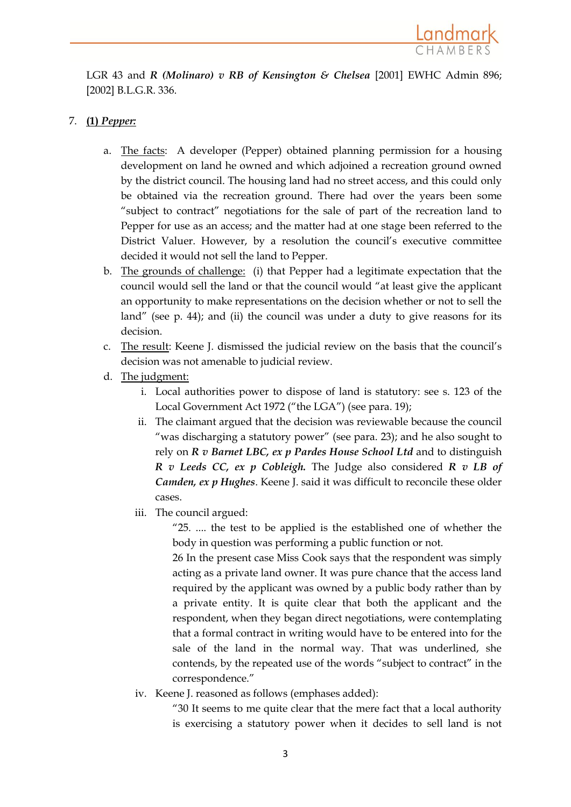

LGR 43 and *R (Molinaro) v RB of Kensington & Chelsea* [2001] EWHC Admin 896; [2002] B.L.G.R. 336.

### 7. **(1)** *Pepper:*

- a. The facts: A developer (Pepper) obtained planning permission for a housing development on land he owned and which adjoined a recreation ground owned by the district council. The housing land had no street access, and this could only be obtained via the recreation ground. There had over the years been some "subject to contract" negotiations for the sale of part of the recreation land to Pepper for use as an access; and the matter had at one stage been referred to the District Valuer. However, by a resolution the council's executive committee decided it would not sell the land to Pepper.
- b. The grounds of challenge: (i) that Pepper had a legitimate expectation that the council would sell the land or that the council would "at least give the applicant an opportunity to make representations on the decision whether or not to sell the land" (see p. 44); and (ii) the council was under a duty to give reasons for its decision.
- c. The result: Keene J. dismissed the judicial review on the basis that the council's decision was not amenable to judicial review.
- d. The judgment:
	- i. Local authorities power to dispose of land is statutory: see s. 123 of the Local Government Act 1972 ("the LGA") (see para. 19);
	- ii. The claimant argued that the decision was reviewable because the council "was discharging a statutory power" (see para. 23); and he also sought to rely on *R v Barnet LBC, ex p Pardes House School Ltd* and to distinguish *R v Leeds CC, ex p Cobleigh.* The Judge also considered *R v LB of Camden, ex p Hughes*. Keene J. said it was difficult to reconcile these older cases.
	- iii. The council argued:

"25. .... the test to be applied is the established one of whether the body in question was performing a public function or not.

26 In the present case Miss Cook says that the respondent was simply acting as a private land owner. It was pure chance that the access land required by the applicant was owned by a public body rather than by a private entity. It is quite clear that both the applicant and the respondent, when they began direct negotiations, were contemplating that a formal contract in writing would have to be entered into for the sale of the land in the normal way. That was underlined, she contends, by the repeated use of the words "subject to contract" in the correspondence."

iv. Keene J. reasoned as follows (emphases added):

"30 It seems to me quite clear that the mere fact that a local authority is exercising a statutory power when it decides to sell land is not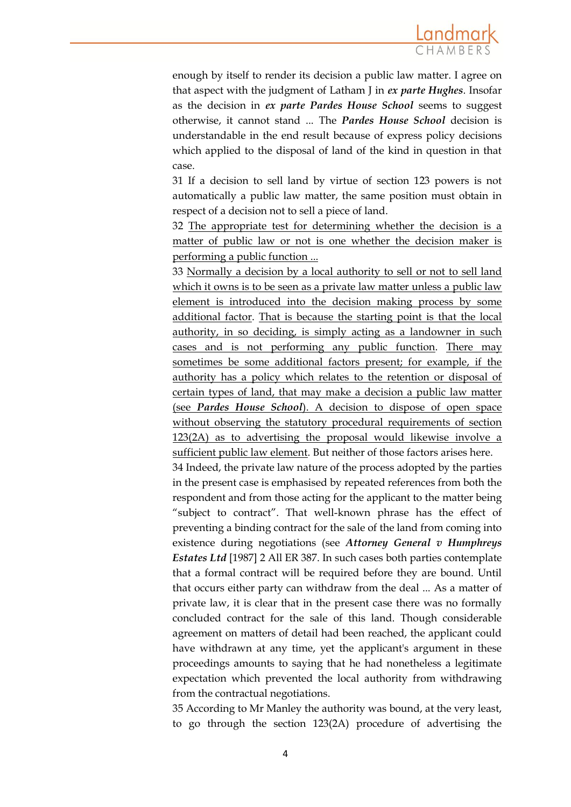

enough by itself to render its decision a public law matter. I agree on that aspect with the judgment of Latham J in *ex parte Hughes*. Insofar as the decision in *ex parte Pardes House School* seems to suggest otherwise, it cannot stand ... The *Pardes House School* decision is understandable in the end result because of express policy decisions which applied to the disposal of land of the kind in question in that case.

31 If a decision to sell land by virtue of section 123 powers is not automatically a public law matter, the same position must obtain in respect of a decision not to sell a piece of land.

32 The appropriate test for determining whether the decision is a matter of public law or not is one whether the decision maker is performing a public function ...

33 Normally a decision by a local authority to sell or not to sell land which it owns is to be seen as a private law matter unless a public law element is introduced into the decision making process by some additional factor. That is because the starting point is that the local authority, in so deciding, is simply acting as a landowner in such cases and is not performing any public function. There may sometimes be some additional factors present; for example, if the authority has a policy which relates to the retention or disposal of certain types of land, that may make a decision a public law matter (see *Pardes House School*). A decision to dispose of open space without observing the statutory procedural requirements of section 123(2A) as to advertising the proposal would likewise involve a sufficient public law element. But neither of those factors arises here.

34 Indeed, the private law nature of the process adopted by the parties in the present case is emphasised by repeated references from both the respondent and from those acting for the applicant to the matter being "subject to contract". That well-known phrase has the effect of preventing a binding contract for the sale of the land from coming into existence during negotiations (see *Attorney General v Humphreys Estates Ltd* [1987] 2 All ER 387. In such cases both parties contemplate that a formal contract will be required before they are bound. Until that occurs either party can withdraw from the deal ... As a matter of private law, it is clear that in the present case there was no formally concluded contract for the sale of this land. Though considerable agreement on matters of detail had been reached, the applicant could have withdrawn at any time, yet the applicant's argument in these proceedings amounts to saying that he had nonetheless a legitimate expectation which prevented the local authority from withdrawing from the contractual negotiations.

35 According to Mr Manley the authority was bound, at the very least, to go through the section 123(2A) procedure of advertising the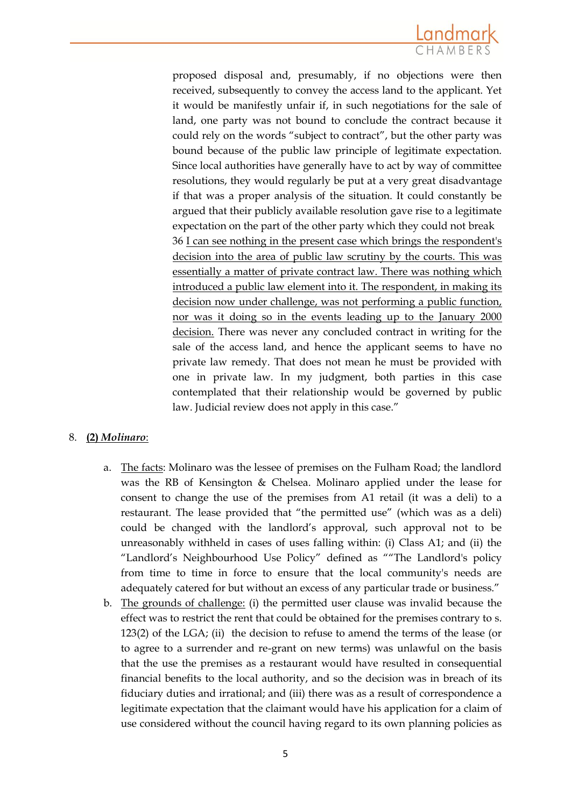

proposed disposal and, presumably, if no objections were then received, subsequently to convey the access land to the applicant. Yet it would be manifestly unfair if, in such negotiations for the sale of land, one party was not bound to conclude the contract because it could rely on the words "subject to contract", but the other party was bound because of the public law principle of legitimate expectation. Since local authorities have generally have to act by way of committee resolutions, they would regularly be put at a very great disadvantage if that was a proper analysis of the situation. It could constantly be argued that their publicly available resolution gave rise to a legitimate expectation on the part of the other party which they could not break 36 I can see nothing in the present case which brings the respondent's decision into the area of public law scrutiny by the courts. This was essentially a matter of private contract law. There was nothing which introduced a public law element into it. The respondent, in making its decision now under challenge, was not performing a public function, nor was it doing so in the events leading up to the January 2000 decision. There was never any concluded contract in writing for the sale of the access land, and hence the applicant seems to have no private law remedy. That does not mean he must be provided with one in private law. In my judgment, both parties in this case contemplated that their relationship would be governed by public law. Judicial review does not apply in this case."

#### 8. **(2)** *Molinaro*:

- a. The facts: Molinaro was the lessee of premises on the Fulham Road; the landlord was the RB of Kensington & Chelsea. Molinaro applied under the lease for consent to change the use of the premises from A1 retail (it was a deli) to a restaurant. The lease provided that "the permitted use" (which was as a deli) could be changed with the landlord's approval, such approval not to be unreasonably withheld in cases of uses falling within: (i) Class A1; and (ii) the "Landlord's Neighbourhood Use Policy" defined as ""The Landlord's policy from time to time in force to ensure that the local community's needs are adequately catered for but without an excess of any particular trade or business."
- b. The grounds of challenge: (i) the permitted user clause was invalid because the effect was to restrict the rent that could be obtained for the premises contrary to s. 123(2) of the LGA; (ii) the decision to refuse to amend the terms of the lease (or to agree to a surrender and re-grant on new terms) was unlawful on the basis that the use the premises as a restaurant would have resulted in consequential financial benefits to the local authority, and so the decision was in breach of its fiduciary duties and irrational; and (iii) there was as a result of correspondence a legitimate expectation that the claimant would have his application for a claim of use considered without the council having regard to its own planning policies as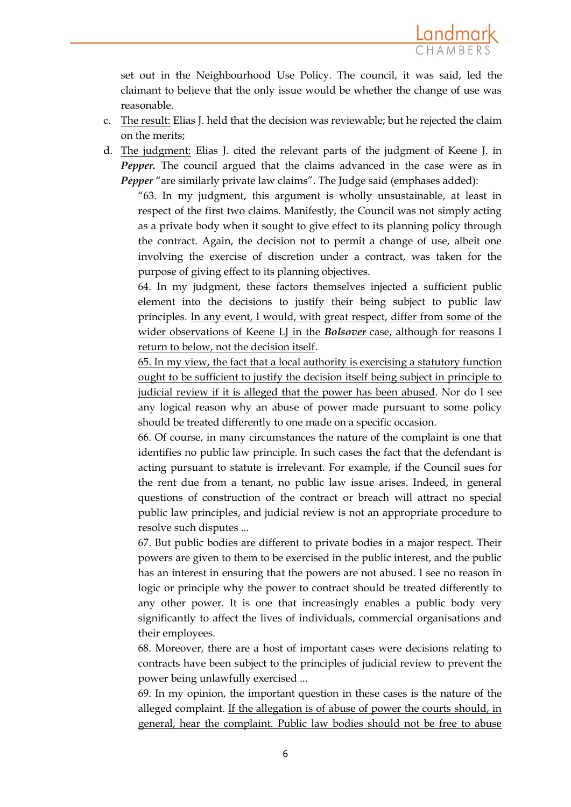

set out in the Neighbourhood Use Policy. The council, it was said, led the claimant to believe that the only issue would be whether the change of use was reasonable.

- c. The result: Elias J. held that the decision was reviewable; but he rejected the claim on the merits;
- d. The judgment: Elias J. cited the relevant parts of the judgment of Keene J. in *Pepper.* The council argued that the claims advanced in the case were as in *Pepper* "are similarly private law claims". The Judge said (emphases added):

"63. In my judgment, this argument is wholly unsustainable, at least in respect of the first two claims. Manifestly, the Council was not simply acting as a private body when it sought to give effect to its planning policy through the contract. Again, the decision not to permit a change of use, albeit one involving the exercise of discretion under a contract, was taken for the purpose of giving effect to its planning objectives.

64. In my judgment, these factors themselves injected a sufficient public element into the decisions to justify their being subject to public law principles. In any event, I would, with great respect, differ from some of the wider observations of Keene LJ in the *Bolsover* case, although for reasons I return to below, not the decision itself.

65. In my view, the fact that a local authority is exercising a statutory function ought to be sufficient to justify the decision itself being subject in principle to judicial review if it is alleged that the power has been abused. Nor do I see any logical reason why an abuse of power made pursuant to some policy should be treated differently to one made on a specific occasion.

66. Of course, in many circumstances the nature of the complaint is one that identifies no public law principle. In such cases the fact that the defendant is acting pursuant to statute is irrelevant. For example, if the Council sues for the rent due from a tenant, no public law issue arises. Indeed, in general questions of construction of the contract or breach will attract no special public law principles, and judicial review is not an appropriate procedure to resolve such disputes ...

67. But public bodies are different to private bodies in a major respect. Their powers are given to them to be exercised in the public interest, and the public has an interest in ensuring that the powers are not abused. I see no reason in logic or principle why the power to contract should be treated differently to any other power. It is one that increasingly enables a public body very significantly to affect the lives of individuals, commercial organisations and their employees.

68. Moreover, there are a host of important cases were decisions relating to contracts have been subject to the principles of judicial review to prevent the power being unlawfully exercised ...

69. In my opinion, the important question in these cases is the nature of the alleged complaint. If the allegation is of abuse of power the courts should, in general, hear the complaint. Public law bodies should not be free to abuse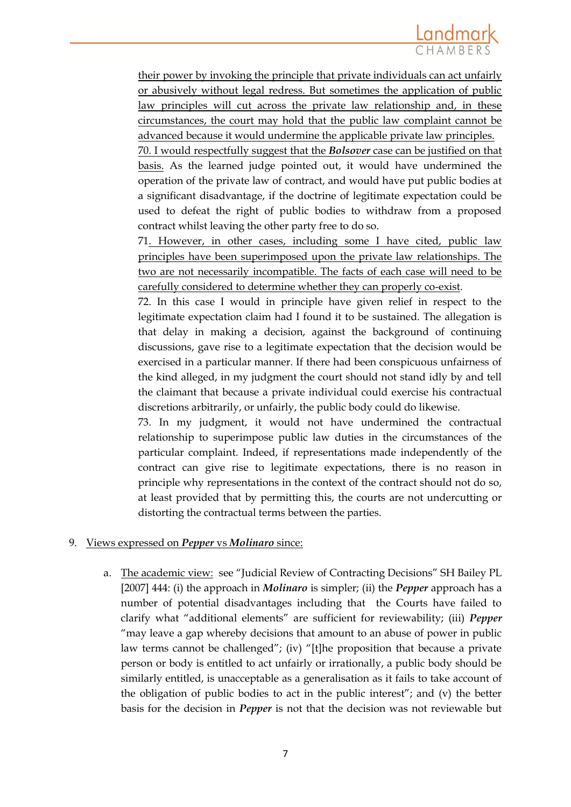

their power by invoking the principle that private individuals can act unfairly or abusively without legal redress. But sometimes the application of public law principles will cut across the private law relationship and, in these circumstances, the court may hold that the public law complaint cannot be advanced because it would undermine the applicable private law principles.

70. I would respectfully suggest that the *Bolsover* case can be justified on that basis. As the learned judge pointed out, it would have undermined the operation of the private law of contract, and would have put public bodies at a significant disadvantage, if the doctrine of legitimate expectation could be used to defeat the right of public bodies to withdraw from a proposed contract whilst leaving the other party free to do so.

71. However, in other cases, including some I have cited, public law principles have been superimposed upon the private law relationships. The two are not necessarily incompatible. The facts of each case will need to be carefully considered to determine whether they can properly co-exist.

72. In this case I would in principle have given relief in respect to the legitimate expectation claim had I found it to be sustained. The allegation is that delay in making a decision, against the background of continuing discussions, gave rise to a legitimate expectation that the decision would be exercised in a particular manner. If there had been conspicuous unfairness of the kind alleged, in my judgment the court should not stand idly by and tell the claimant that because a private individual could exercise his contractual discretions arbitrarily, or unfairly, the public body could do likewise.

73. In my judgment, it would not have undermined the contractual relationship to superimpose public law duties in the circumstances of the particular complaint. Indeed, if representations made independently of the contract can give rise to legitimate expectations, there is no reason in principle why representations in the context of the contract should not do so, at least provided that by permitting this, the courts are not undercutting or distorting the contractual terms between the parties.

#### 9. Views expressed on *Pepper* vs *Molinaro* since:

a. The academic view: see "Judicial Review of Contracting Decisions" SH Bailey PL [2007] 444: (i) the approach in *Molinaro* is simpler; (ii) the *Pepper* approach has a number of potential disadvantages including that the Courts have failed to clarify what "additional elements" are sufficient for reviewability; (iii) *Pepper*  "may leave a gap whereby decisions that amount to an abuse of power in public law terms cannot be challenged"; (iv) "[t]he proposition that because a private person or body is entitled to act unfairly or irrationally, a public body should be similarly entitled, is unacceptable as a generalisation as it fails to take account of the obligation of public bodies to act in the public interest"; and (v) the better basis for the decision in *Pepper* is not that the decision was not reviewable but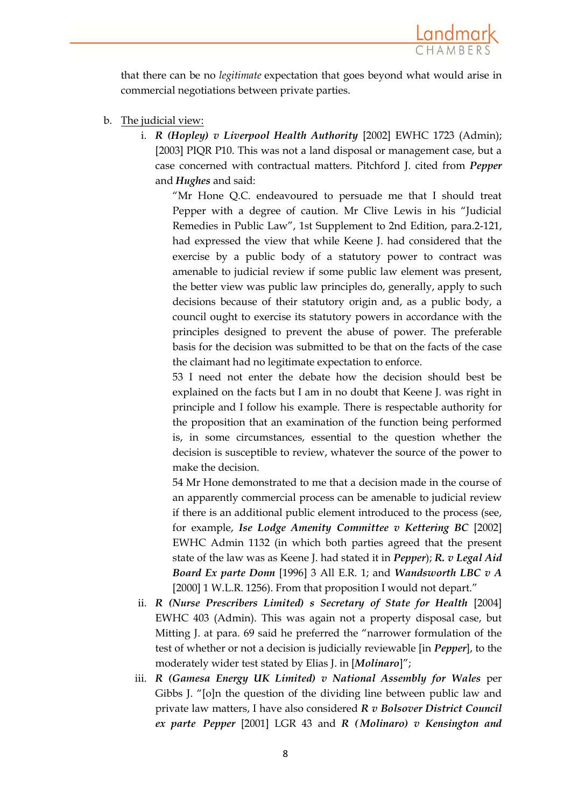

that there can be no *legitimate* expectation that goes beyond what would arise in commercial negotiations between private parties.

- b. The judicial view:
	- i. *R (Hopley) v Liverpool Health Authority* [2002] EWHC 1723 (Admin); [2003] PIQR P10. This was not a land disposal or management case, but a case concerned with contractual matters. Pitchford J. cited from *Pepper*  and *Hughes* and said:

"Mr Hone Q.C. endeavoured to persuade me that I should treat Pepper with a degree of caution. Mr Clive Lewis in his "Judicial Remedies in Public Law", 1st Supplement to 2nd Edition, para.2-121, had expressed the view that while Keene J. had considered that the exercise by a public body of a statutory power to contract was amenable to judicial review if some public law element was present, the better view was public law principles do, generally, apply to such decisions because of their statutory origin and, as a public body, a council ought to exercise its statutory powers in accordance with the principles designed to prevent the abuse of power. The preferable basis for the decision was submitted to be that on the facts of the case the claimant had no legitimate expectation to enforce.

53 I need not enter the debate how the decision should best be explained on the facts but I am in no doubt that Keene J. was right in principle and I follow his example. There is respectable authority for the proposition that an examination of the function being performed is, in some circumstances, essential to the question whether the decision is susceptible to review, whatever the source of the power to make the decision.

54 Mr Hone demonstrated to me that a decision made in the course of an apparently commercial process can be amenable to judicial review if there is an additional public element introduced to the process (see, for example, *Ise Lodge Amenity Committee v Kettering BC* [2002] EWHC Admin 1132 (in which both parties agreed that the present state of the law was as Keene J. had stated it in *Pepper*); *R. v Legal Aid Board Ex parte Donn* [1996] 3 All E.R. 1; and *Wandsworth LBC v A* [2000] 1 W.L.R. 1256). From that proposition I would not depart."

- ii. *R (Nurse Prescribers Limited) s Secretary of State for Health* [2004] EWHC 403 (Admin). This was again not a property disposal case, but Mitting J. at para. 69 said he preferred the "narrower formulation of the test of whether or not a decision is judicially reviewable [in *Pepper*], to the moderately wider test stated by Elias J. in [*Molinaro*]";
- iii. *R (Gamesa Energy UK Limited) v National Assembly for Wales* per Gibbs J. "[o]n the question of the dividing line between public law and private law matters, I have also considered *R v Bolsover District Council ex parte Pepper* [2001] LGR 43 and *R ( Molinaro) v Kensington and*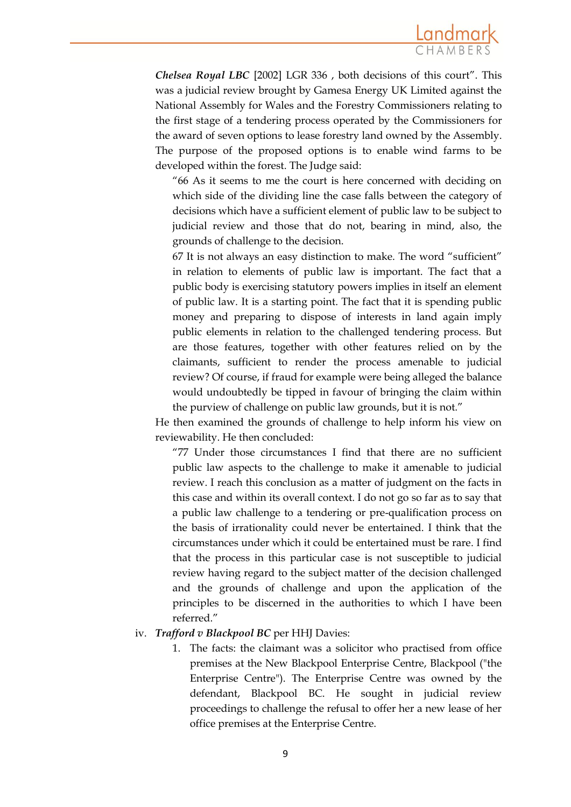

*Chelsea Royal LBC* [2002] LGR 336 , both decisions of this court". This was a judicial review brought by Gamesa Energy UK Limited against the National Assembly for Wales and the Forestry Commissioners relating to the first stage of a tendering process operated by the Commissioners for the award of seven options to lease forestry land owned by the Assembly. The purpose of the proposed options is to enable wind farms to be developed within the forest. The Judge said:

"66 As it seems to me the court is here concerned with deciding on which side of the dividing line the case falls between the category of decisions which have a sufficient element of public law to be subject to judicial review and those that do not, bearing in mind, also, the grounds of challenge to the decision.

67 It is not always an easy distinction to make. The word "sufficient" in relation to elements of public law is important. The fact that a public body is exercising statutory powers implies in itself an element of public law. It is a starting point. The fact that it is spending public money and preparing to dispose of interests in land again imply public elements in relation to the challenged tendering process. But are those features, together with other features relied on by the claimants, sufficient to render the process amenable to judicial review? Of course, if fraud for example were being alleged the balance would undoubtedly be tipped in favour of bringing the claim within the purview of challenge on public law grounds, but it is not."

He then examined the grounds of challenge to help inform his view on reviewability. He then concluded:

"77 Under those circumstances I find that there are no sufficient public law aspects to the challenge to make it amenable to judicial review. I reach this conclusion as a matter of judgment on the facts in this case and within its overall context. I do not go so far as to say that a public law challenge to a tendering or pre-qualification process on the basis of irrationality could never be entertained. I think that the circumstances under which it could be entertained must be rare. I find that the process in this particular case is not susceptible to judicial review having regard to the subject matter of the decision challenged and the grounds of challenge and upon the application of the principles to be discerned in the authorities to which I have been referred."

#### iv. *Trafford v Blackpool BC* per HHJ Davies:

1. The facts: the claimant was a solicitor who practised from office premises at the New Blackpool Enterprise Centre, Blackpool ("the Enterprise Centre"). The Enterprise Centre was owned by the defendant, Blackpool BC. He sought in judicial review proceedings to challenge the refusal to offer her a new lease of her office premises at the Enterprise Centre.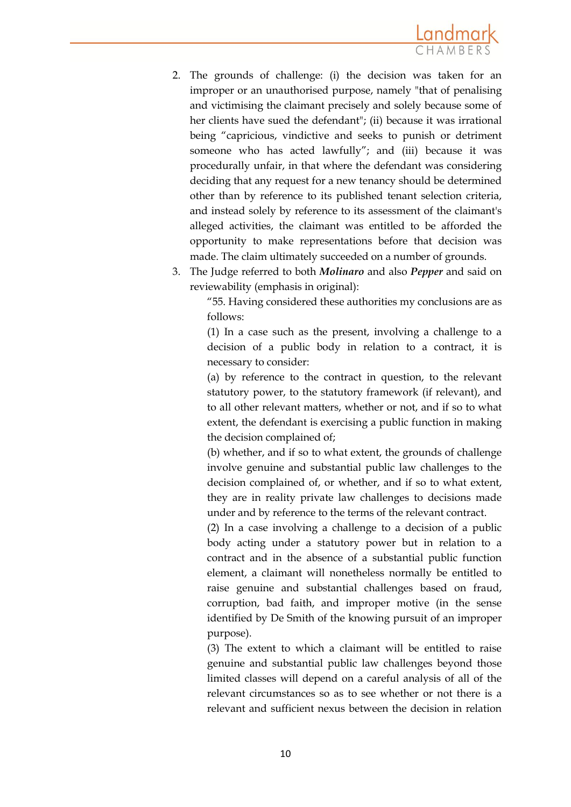

- 2. The grounds of challenge: (i) the decision was taken for an improper or an unauthorised purpose, namely "that of penalising and victimising the claimant precisely and solely because some of her clients have sued the defendant"; (ii) because it was irrational being "capricious, vindictive and seeks to punish or detriment someone who has acted lawfully"; and (iii) because it was procedurally unfair, in that where the defendant was considering deciding that any request for a new tenancy should be determined other than by reference to its published tenant selection criteria, and instead solely by reference to its assessment of the claimant's alleged activities, the claimant was entitled to be afforded the opportunity to make representations before that decision was made. The claim ultimately succeeded on a number of grounds.
- 3. The Judge referred to both *Molinaro* and also *Pepper* and said on reviewability (emphasis in original):

"55. Having considered these authorities my conclusions are as follows:

(1) In a case such as the present, involving a challenge to a decision of a public body in relation to a contract, it is necessary to consider:

(a) by reference to the contract in question, to the relevant statutory power, to the statutory framework (if relevant), and to all other relevant matters, whether or not, and if so to what extent, the defendant is exercising a public function in making the decision complained of;

(b) whether, and if so to what extent, the grounds of challenge involve genuine and substantial public law challenges to the decision complained of, or whether, and if so to what extent, they are in reality private law challenges to decisions made under and by reference to the terms of the relevant contract.

(2) In a case involving a challenge to a decision of a public body acting under a statutory power but in relation to a contract and in the absence of a substantial public function element, a claimant will nonetheless normally be entitled to raise genuine and substantial challenges based on fraud, corruption, bad faith, and improper motive (in the sense identified by De Smith of the knowing pursuit of an improper purpose).

(3) The extent to which a claimant will be entitled to raise genuine and substantial public law challenges beyond those limited classes will depend on a careful analysis of all of the relevant circumstances so as to see whether or not there is a relevant and sufficient nexus between the decision in relation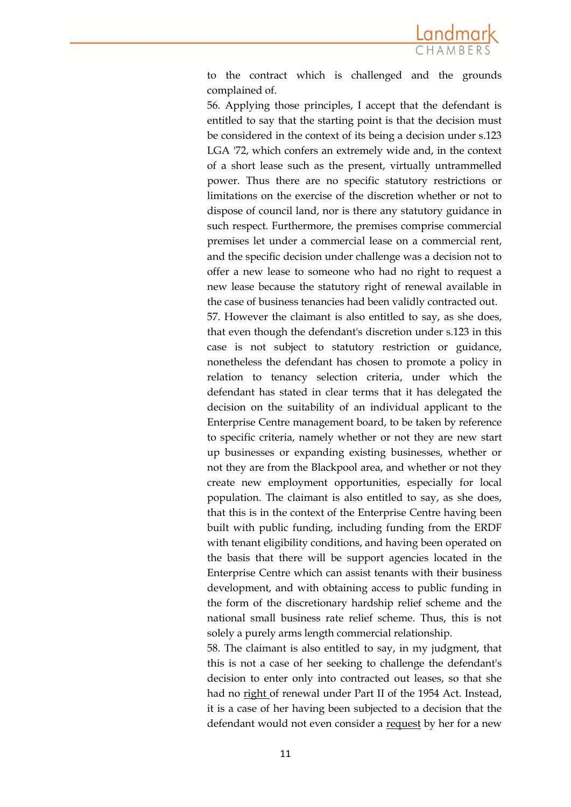

to the contract which is challenged and the grounds complained of.

56. Applying those principles, I accept that the defendant is entitled to say that the starting point is that the decision must be considered in the context of its being a decision under s.123 LGA '72, which confers an extremely wide and, in the context of a short lease such as the present, virtually untrammelled power. Thus there are no specific statutory restrictions or limitations on the exercise of the discretion whether or not to dispose of council land, nor is there any statutory guidance in such respect. Furthermore, the premises comprise commercial premises let under a commercial lease on a commercial rent, and the specific decision under challenge was a decision not to offer a new lease to someone who had no right to request a new lease because the statutory right of renewal available in the case of business tenancies had been validly contracted out.

57. However the claimant is also entitled to say, as she does, that even though the defendant's discretion under s.123 in this case is not subject to statutory restriction or guidance, nonetheless the defendant has chosen to promote a policy in relation to tenancy selection criteria, under which the defendant has stated in clear terms that it has delegated the decision on the suitability of an individual applicant to the Enterprise Centre management board, to be taken by reference to specific criteria, namely whether or not they are new start up businesses or expanding existing businesses, whether or not they are from the Blackpool area, and whether or not they create new employment opportunities, especially for local population. The claimant is also entitled to say, as she does, that this is in the context of the Enterprise Centre having been built with public funding, including funding from the ERDF with tenant eligibility conditions, and having been operated on the basis that there will be support agencies located in the Enterprise Centre which can assist tenants with their business development, and with obtaining access to public funding in the form of the discretionary hardship relief scheme and the national small business rate relief scheme. Thus, this is not solely a purely arms length commercial relationship.

58. The claimant is also entitled to say, in my judgment, that this is not a case of her seeking to challenge the defendant's decision to enter only into contracted out leases, so that she had no right of renewal under Part II of the 1954 Act. Instead, it is a case of her having been subjected to a decision that the defendant would not even consider a request by her for a new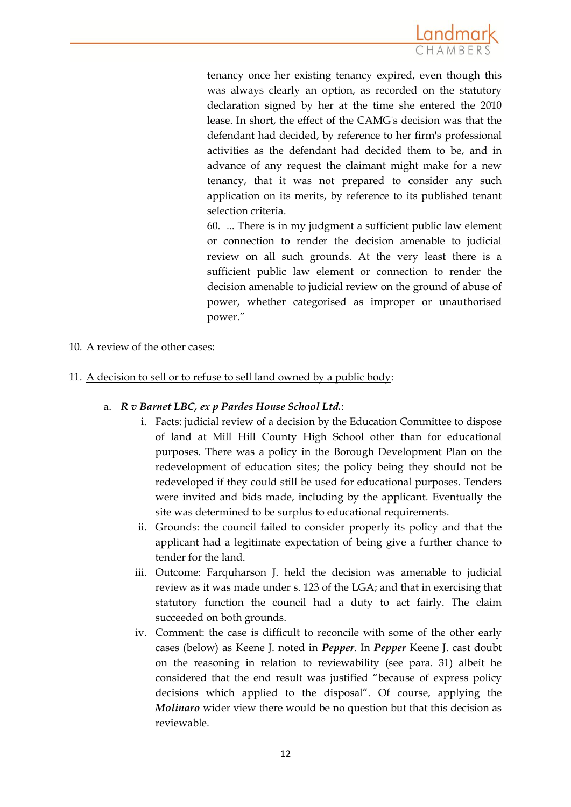

tenancy once her existing tenancy expired, even though this was always clearly an option, as recorded on the statutory declaration signed by her at the time she entered the 2010 lease. In short, the effect of the CAMG's decision was that the defendant had decided, by reference to her firm's professional activities as the defendant had decided them to be, and in advance of any request the claimant might make for a new tenancy, that it was not prepared to consider any such application on its merits, by reference to its published tenant selection criteria.

60. ... There is in my judgment a sufficient public law element or connection to render the decision amenable to judicial review on all such grounds. At the very least there is a sufficient public law element or connection to render the decision amenable to judicial review on the ground of abuse of power, whether categorised as improper or unauthorised power."

### 10. A review of the other cases:

### 11. A decision to sell or to refuse to sell land owned by a public body:

#### a. *R v Barnet LBC, ex p Pardes House School Ltd.*:

- i. Facts: judicial review of a decision by the Education Committee to dispose of land at Mill Hill County High School other than for educational purposes. There was a policy in the Borough Development Plan on the redevelopment of education sites; the policy being they should not be redeveloped if they could still be used for educational purposes. Tenders were invited and bids made, including by the applicant. Eventually the site was determined to be surplus to educational requirements.
- ii. Grounds: the council failed to consider properly its policy and that the applicant had a legitimate expectation of being give a further chance to tender for the land.
- iii. Outcome: Farquharson J. held the decision was amenable to judicial review as it was made under s. 123 of the LGA; and that in exercising that statutory function the council had a duty to act fairly. The claim succeeded on both grounds.
- iv. Comment: the case is difficult to reconcile with some of the other early cases (below) as Keene J. noted in *Pepper*. In *Pepper* Keene J. cast doubt on the reasoning in relation to reviewability (see para. 31) albeit he considered that the end result was justified "because of express policy decisions which applied to the disposal". Of course, applying the *Molinaro* wider view there would be no question but that this decision as reviewable.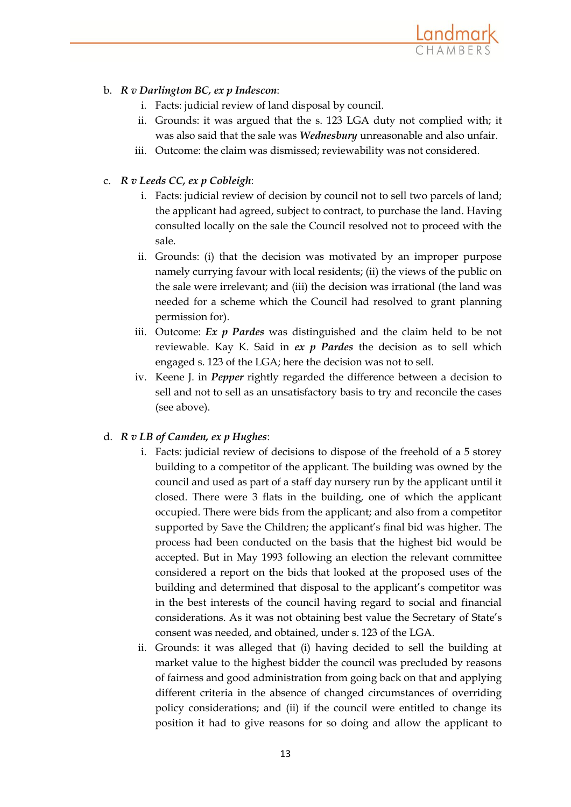

### b. *R v Darlington BC, ex p Indescon*:

- i. Facts: judicial review of land disposal by council.
- ii. Grounds: it was argued that the s. 123 LGA duty not complied with; it was also said that the sale was *Wednesbury* unreasonable and also unfair*.*
- iii. Outcome: the claim was dismissed; reviewability was not considered.
- c. *R v Leeds CC, ex p Cobleigh*:
	- i. Facts: judicial review of decision by council not to sell two parcels of land; the applicant had agreed, subject to contract, to purchase the land. Having consulted locally on the sale the Council resolved not to proceed with the sale.
	- ii. Grounds: (i) that the decision was motivated by an improper purpose namely currying favour with local residents; (ii) the views of the public on the sale were irrelevant; and (iii) the decision was irrational (the land was needed for a scheme which the Council had resolved to grant planning permission for).
	- iii. Outcome: *Ex p Pardes* was distinguished and the claim held to be not reviewable. Kay K. Said in *ex p Pardes* the decision as to sell which engaged s. 123 of the LGA; here the decision was not to sell.
	- iv. Keene J. in *Pepper* rightly regarded the difference between a decision to sell and not to sell as an unsatisfactory basis to try and reconcile the cases (see above).

#### d. *R v LB of Camden, ex p Hughes*:

- i. Facts: judicial review of decisions to dispose of the freehold of a 5 storey building to a competitor of the applicant. The building was owned by the council and used as part of a staff day nursery run by the applicant until it closed. There were 3 flats in the building, one of which the applicant occupied. There were bids from the applicant; and also from a competitor supported by Save the Children; the applicant's final bid was higher. The process had been conducted on the basis that the highest bid would be accepted. But in May 1993 following an election the relevant committee considered a report on the bids that looked at the proposed uses of the building and determined that disposal to the applicant's competitor was in the best interests of the council having regard to social and financial considerations. As it was not obtaining best value the Secretary of State's consent was needed, and obtained, under s. 123 of the LGA.
- ii. Grounds: it was alleged that (i) having decided to sell the building at market value to the highest bidder the council was precluded by reasons of fairness and good administration from going back on that and applying different criteria in the absence of changed circumstances of overriding policy considerations; and (ii) if the council were entitled to change its position it had to give reasons for so doing and allow the applicant to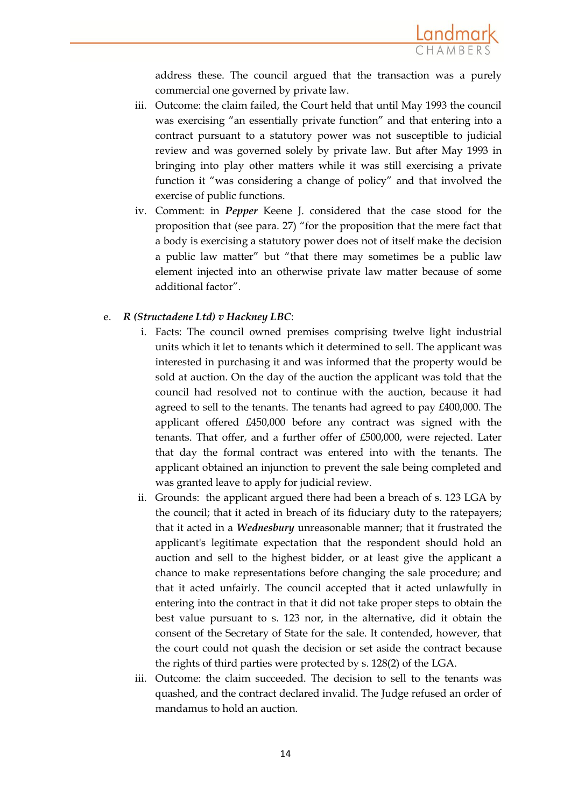

address these. The council argued that the transaction was a purely commercial one governed by private law.

- iii. Outcome: the claim failed, the Court held that until May 1993 the council was exercising "an essentially private function" and that entering into a contract pursuant to a statutory power was not susceptible to judicial review and was governed solely by private law. But after May 1993 in bringing into play other matters while it was still exercising a private function it "was considering a change of policy" and that involved the exercise of public functions.
- iv. Comment: in *Pepper* Keene J. considered that the case stood for the proposition that (see para. 27) "for the proposition that the mere fact that a body is exercising a statutory power does not of itself make the decision a public law matter" but "that there may sometimes be a public law element injected into an otherwise private law matter because of some additional factor".

#### e. *R (Structadene Ltd) v Hackney LBC*:

- i. Facts: The council owned premises comprising twelve light industrial units which it let to tenants which it determined to sell. The applicant was interested in purchasing it and was informed that the property would be sold at auction. On the day of the auction the applicant was told that the council had resolved not to continue with the auction, because it had agreed to sell to the tenants. The tenants had agreed to pay £400,000. The applicant offered £450,000 before any contract was signed with the tenants. That offer, and a further offer of £500,000, were rejected. Later that day the formal contract was entered into with the tenants. The applicant obtained an injunction to prevent the sale being completed and was granted leave to apply for judicial review.
- ii. Grounds: the applicant argued there had been a breach of s. 123 LGA by the council; that it acted in breach of its fiduciary duty to the ratepayers; that it acted in a *Wednesbury* unreasonable manner; that it frustrated the applicant's legitimate expectation that the respondent should hold an auction and sell to the highest bidder, or at least give the applicant a chance to make representations before changing the sale procedure; and that it acted unfairly. The council accepted that it acted unlawfully in entering into the contract in that it did not take proper steps to obtain the best value pursuant to s. 123 nor, in the alternative, did it obtain the consent of the Secretary of State for the sale. It contended, however, that the court could not quash the decision or set aside the contract because the rights of third parties were protected by s. 128(2) of the LGA.
- iii. Outcome: the claim succeeded. The decision to sell to the tenants was quashed, and the contract declared invalid. The Judge refused an order of mandamus to hold an auction.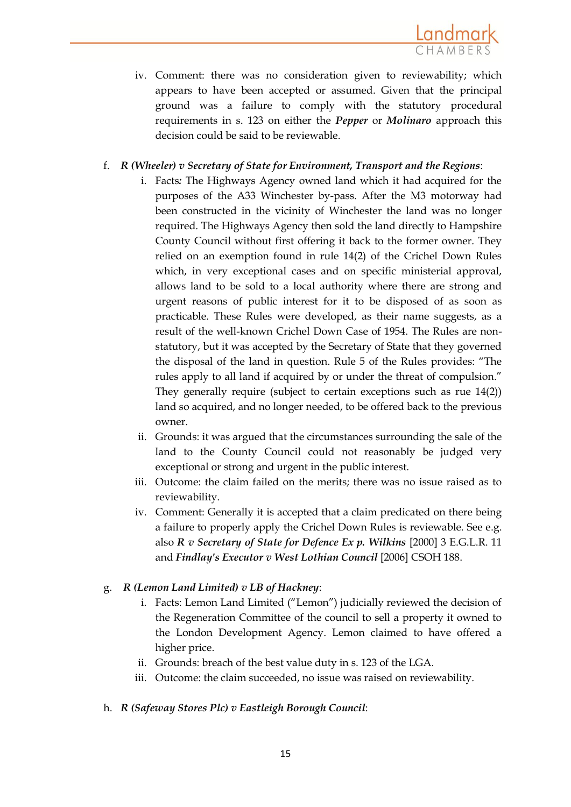

iv. Comment: there was no consideration given to reviewability; which appears to have been accepted or assumed. Given that the principal ground was a failure to comply with the statutory procedural requirements in s. 123 on either the *Pepper* or *Molinaro* approach this decision could be said to be reviewable.

# f. *R (Wheeler) v Secretary of State for Environment, Transport and the Regions*:

- i. Facts*:* The Highways Agency owned land which it had acquired for the purposes of the A33 Winchester by-pass. After the M3 motorway had been constructed in the vicinity of Winchester the land was no longer required. The Highways Agency then sold the land directly to Hampshire County Council without first offering it back to the former owner. They relied on an exemption found in rule 14(2) of the Crichel Down Rules which, in very exceptional cases and on specific ministerial approval, allows land to be sold to a local authority where there are strong and urgent reasons of public interest for it to be disposed of as soon as practicable. These Rules were developed, as their name suggests, as a result of the well-known Crichel Down Case of 1954. The Rules are nonstatutory, but it was accepted by the Secretary of State that they governed the disposal of the land in question. Rule 5 of the Rules provides: "The rules apply to all land if acquired by or under the threat of compulsion." They generally require (subject to certain exceptions such as rue 14(2)) land so acquired, and no longer needed, to be offered back to the previous owner.
- ii. Grounds: it was argued that the circumstances surrounding the sale of the land to the County Council could not reasonably be judged very exceptional or strong and urgent in the public interest.
- iii. Outcome: the claim failed on the merits; there was no issue raised as to reviewability.
- iv. Comment: Generally it is accepted that a claim predicated on there being a failure to properly apply the Crichel Down Rules is reviewable. See e.g. also *R v Secretary of State for Defence Ex p. Wilkins* [2000] 3 E.G.L.R. 11 and *Findlay's Executor v West Lothian Council* [2006] CSOH 188.

### g. *R (Lemon Land Limited) v LB of Hackney*:

- i. Facts: Lemon Land Limited ("Lemon") judicially reviewed the decision of the Regeneration Committee of the council to sell a property it owned to the London Development Agency. Lemon claimed to have offered a higher price.
- ii. Grounds: breach of the best value duty in s. 123 of the LGA.
- iii. Outcome: the claim succeeded, no issue was raised on reviewability.

### h. *R (Safeway Stores Plc) v Eastleigh Borough Council*: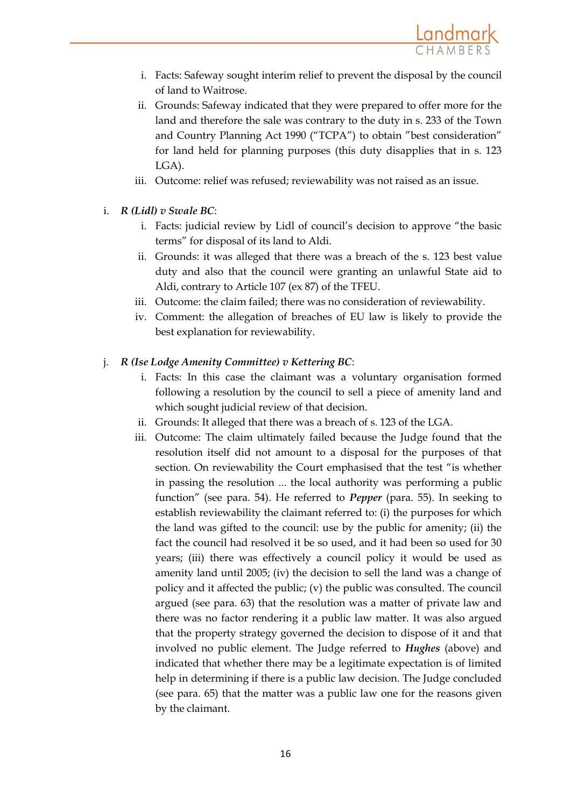

- i. Facts: Safeway sought interim relief to prevent the disposal by the council of land to Waitrose.
- ii. Grounds: Safeway indicated that they were prepared to offer more for the land and therefore the sale was contrary to the duty in s. 233 of the Town and Country Planning Act 1990 ("TCPA") to obtain "best consideration" for land held for planning purposes (this duty disapplies that in s. 123 LGA).
- iii. Outcome: relief was refused; reviewability was not raised as an issue.
- i. *R (Lidl) v Swale BC*:
	- i. Facts: judicial review by Lidl of council's decision to approve "the basic terms" for disposal of its land to Aldi.
	- ii. Grounds: it was alleged that there was a breach of the s. 123 best value duty and also that the council were granting an unlawful State aid to Aldi, contrary to Article 107 (ex 87) of the TFEU.
	- iii. Outcome: the claim failed; there was no consideration of reviewability.
	- iv. Comment: the allegation of breaches of EU law is likely to provide the best explanation for reviewability.
- j. *R (Ise Lodge Amenity Committee) v Kettering BC*:
	- i. Facts: In this case the claimant was a voluntary organisation formed following a resolution by the council to sell a piece of amenity land and which sought judicial review of that decision.
	- ii. Grounds: It alleged that there was a breach of s. 123 of the LGA.
	- iii. Outcome: The claim ultimately failed because the Judge found that the resolution itself did not amount to a disposal for the purposes of that section. On reviewability the Court emphasised that the test "is whether in passing the resolution ... the local authority was performing a public function" (see para. 54). He referred to *Pepper* (para. 55). In seeking to establish reviewability the claimant referred to: (i) the purposes for which the land was gifted to the council: use by the public for amenity; (ii) the fact the council had resolved it be so used, and it had been so used for 30 years; (iii) there was effectively a council policy it would be used as amenity land until 2005; (iv) the decision to sell the land was a change of policy and it affected the public; (v) the public was consulted. The council argued (see para. 63) that the resolution was a matter of private law and there was no factor rendering it a public law matter. It was also argued that the property strategy governed the decision to dispose of it and that involved no public element. The Judge referred to *Hughes* (above) and indicated that whether there may be a legitimate expectation is of limited help in determining if there is a public law decision. The Judge concluded (see para. 65) that the matter was a public law one for the reasons given by the claimant.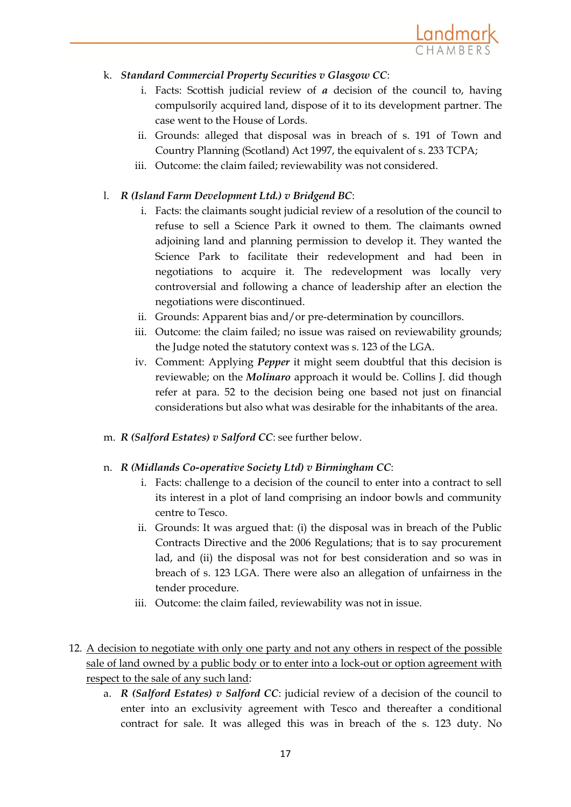

### k. *Standard Commercial Property Securities v Glasgow CC*:

- i. Facts: Scottish judicial review of *a* decision of the council to, having compulsorily acquired land, dispose of it to its development partner. The case went to the House of Lords.
- ii. Grounds: alleged that disposal was in breach of s. 191 of Town and Country Planning (Scotland) Act 1997, the equivalent of s. 233 TCPA;
- iii. Outcome: the claim failed; reviewability was not considered.

# l. *R (Island Farm Development Ltd.) v Bridgend BC*:

- i. Facts: the claimants sought judicial review of a resolution of the council to refuse to sell a Science Park it owned to them. The claimants owned adjoining land and planning permission to develop it. They wanted the Science Park to facilitate their redevelopment and had been in negotiations to acquire it. The redevelopment was locally very controversial and following a chance of leadership after an election the negotiations were discontinued.
- ii. Grounds: Apparent bias and/or pre-determination by councillors.
- iii. Outcome: the claim failed; no issue was raised on reviewability grounds; the Judge noted the statutory context was s. 123 of the LGA.
- iv. Comment: Applying *Pepper* it might seem doubtful that this decision is reviewable; on the *Molinaro* approach it would be. Collins J. did though refer at para. 52 to the decision being one based not just on financial considerations but also what was desirable for the inhabitants of the area.
- m. *R (Salford Estates) v Salford CC*: see further below.

### n. *R (Midlands Co-operative Society Ltd) v Birmingham CC*:

- i. Facts: challenge to a decision of the council to enter into a contract to sell its interest in a plot of land comprising an indoor bowls and community centre to Tesco.
- ii. Grounds: It was argued that: (i) the disposal was in breach of the Public Contracts Directive and the 2006 Regulations; that is to say procurement lad, and (ii) the disposal was not for best consideration and so was in breach of s. 123 LGA. There were also an allegation of unfairness in the tender procedure.
- iii. Outcome: the claim failed, reviewability was not in issue.
- 12. A decision to negotiate with only one party and not any others in respect of the possible sale of land owned by a public body or to enter into a lock-out or option agreement with respect to the sale of any such land:
	- a. *R (Salford Estates) v Salford CC*: judicial review of a decision of the council to enter into an exclusivity agreement with Tesco and thereafter a conditional contract for sale. It was alleged this was in breach of the s. 123 duty. No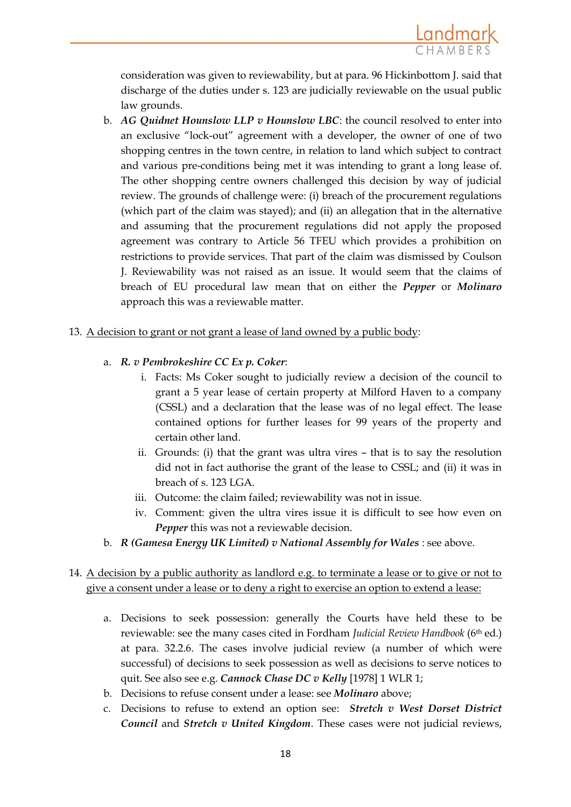

consideration was given to reviewability, but at para. 96 Hickinbottom J. said that discharge of the duties under s. 123 are judicially reviewable on the usual public law grounds.

b. *AG Quidnet Hounslow LLP v Hounslow LBC*: the council resolved to enter into an exclusive "lock-out" agreement with a developer, the owner of one of two shopping centres in the town centre, in relation to land which subject to contract and various pre-conditions being met it was intending to grant a long lease of. The other shopping centre owners challenged this decision by way of judicial review. The grounds of challenge were: (i) breach of the procurement regulations (which part of the claim was stayed); and (ii) an allegation that in the alternative and assuming that the procurement regulations did not apply the proposed agreement was contrary to Article 56 TFEU which provides a prohibition on restrictions to provide services. That part of the claim was dismissed by Coulson J. Reviewability was not raised as an issue. It would seem that the claims of breach of EU procedural law mean that on either the *Pepper* or *Molinaro*  approach this was a reviewable matter.

### 13. A decision to grant or not grant a lease of land owned by a public body:

- a. *R. v Pembrokeshire CC Ex p. Coker*:
	- i. Facts: Ms Coker sought to judicially review a decision of the council to grant a 5 year lease of certain property at Milford Haven to a company (CSSL) and a declaration that the lease was of no legal effect. The lease contained options for further leases for 99 years of the property and certain other land.
	- ii. Grounds: (i) that the grant was ultra vires that is to say the resolution did not in fact authorise the grant of the lease to CSSL; and (ii) it was in breach of s. 123 LGA.
	- iii. Outcome: the claim failed; reviewability was not in issue.
	- iv. Comment: given the ultra vires issue it is difficult to see how even on *Pepper* this was not a reviewable decision.
- b. *R (Gamesa Energy UK Limited) v National Assembly for Wales* : see above.

# 14. A decision by a public authority as landlord e.g. to terminate a lease or to give or not to give a consent under a lease or to deny a right to exercise an option to extend a lease:

- a. Decisions to seek possession: generally the Courts have held these to be reviewable: see the many cases cited in Fordham *Judicial Review Handbook* (6<sup>th</sup> ed.) at para. 32.2.6. The cases involve judicial review (a number of which were successful) of decisions to seek possession as well as decisions to serve notices to quit. See also see e.g. *Cannock Chase DC v Kelly* [1978] 1 WLR 1;
- b. Decisions to refuse consent under a lease: see *Molinaro* above;
- c. Decisions to refuse to extend an option see: *Stretch v West Dorset District Council* and *Stretch v United Kingdom*. These cases were not judicial reviews,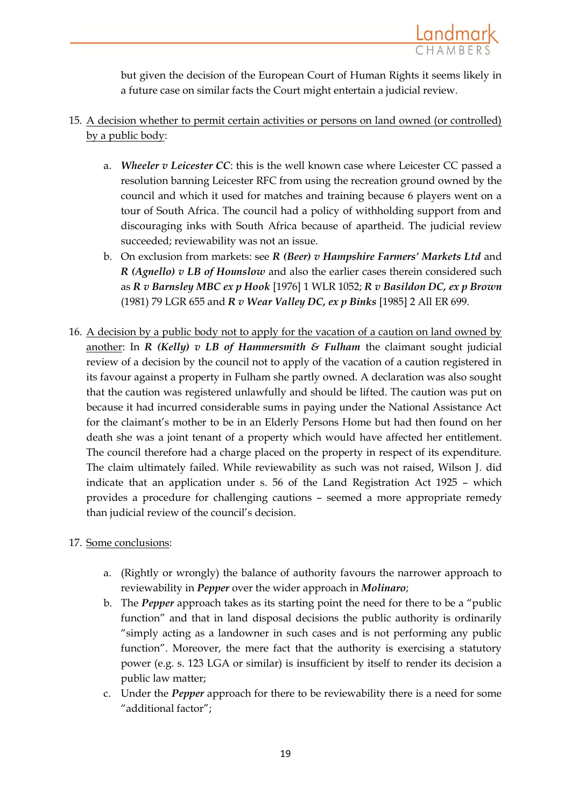

but given the decision of the European Court of Human Rights it seems likely in a future case on similar facts the Court might entertain a judicial review.

- 15. A decision whether to permit certain activities or persons on land owned (or controlled) by a public body:
	- a. *Wheeler v Leicester CC*: this is the well known case where Leicester CC passed a resolution banning Leicester RFC from using the recreation ground owned by the council and which it used for matches and training because 6 players went on a tour of South Africa. The council had a policy of withholding support from and discouraging inks with South Africa because of apartheid. The judicial review succeeded; reviewability was not an issue.
	- b. On exclusion from markets: see *R (Beer) v Hampshire Farmers' Markets Ltd* and *R (Agnello) v LB of Hounslow* and also the earlier cases therein considered such as *R v Barnsley MBC ex p Hook* [1976] 1 WLR 1052; *R v Basildon DC, ex p Brown*  (1981) 79 LGR 655 and *R v Wear Valley DC, ex p Binks* [1985] 2 All ER 699.
- 16. A decision by a public body not to apply for the vacation of a caution on land owned by another: In *R (Kelly)*  $v$  *LB of Hammersmith & Fulham* the claimant sought judicial review of a decision by the council not to apply of the vacation of a caution registered in its favour against a property in Fulham she partly owned. A declaration was also sought that the caution was registered unlawfully and should be lifted. The caution was put on because it had incurred considerable sums in paying under the National Assistance Act for the claimant's mother to be in an Elderly Persons Home but had then found on her death she was a joint tenant of a property which would have affected her entitlement. The council therefore had a charge placed on the property in respect of its expenditure. The claim ultimately failed. While reviewability as such was not raised, Wilson J. did indicate that an application under s. 56 of the Land Registration Act 1925 – which provides a procedure for challenging cautions – seemed a more appropriate remedy than judicial review of the council's decision.
- 17. Some conclusions:
	- a. (Rightly or wrongly) the balance of authority favours the narrower approach to reviewability in *Pepper* over the wider approach in *Molinaro*;
	- b. The *Pepper* approach takes as its starting point the need for there to be a "public function" and that in land disposal decisions the public authority is ordinarily "simply acting as a landowner in such cases and is not performing any public function". Moreover, the mere fact that the authority is exercising a statutory power (e.g. s. 123 LGA or similar) is insufficient by itself to render its decision a public law matter;
	- c. Under the *Pepper* approach for there to be reviewability there is a need for some "additional factor";